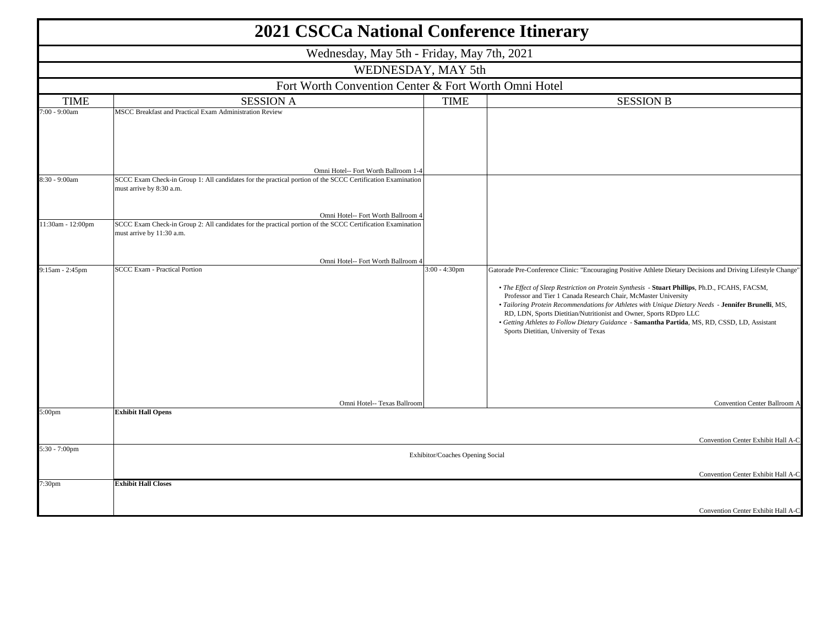| <b>2021 CSCCa National Conference Itinerary</b> |                                                                                                                                                  |                  |                                                                                                                                                                                                                                                                                                                                                                                                                                                                                                                                                                                                                                           |  |  |  |  |
|-------------------------------------------------|--------------------------------------------------------------------------------------------------------------------------------------------------|------------------|-------------------------------------------------------------------------------------------------------------------------------------------------------------------------------------------------------------------------------------------------------------------------------------------------------------------------------------------------------------------------------------------------------------------------------------------------------------------------------------------------------------------------------------------------------------------------------------------------------------------------------------------|--|--|--|--|
|                                                 | Wednesday, May 5th - Friday, May 7th, 2021                                                                                                       |                  |                                                                                                                                                                                                                                                                                                                                                                                                                                                                                                                                                                                                                                           |  |  |  |  |
|                                                 | WEDNESDAY, MAY 5th                                                                                                                               |                  |                                                                                                                                                                                                                                                                                                                                                                                                                                                                                                                                                                                                                                           |  |  |  |  |
|                                                 | Fort Worth Convention Center & Fort Worth Omni Hotel                                                                                             |                  |                                                                                                                                                                                                                                                                                                                                                                                                                                                                                                                                                                                                                                           |  |  |  |  |
| <b>TIME</b>                                     | <b>SESSION A</b>                                                                                                                                 | <b>SESSION B</b> |                                                                                                                                                                                                                                                                                                                                                                                                                                                                                                                                                                                                                                           |  |  |  |  |
| $2:00 - 9:00$ am                                | MSCC Breakfast and Practical Exam Administration Review                                                                                          |                  |                                                                                                                                                                                                                                                                                                                                                                                                                                                                                                                                                                                                                                           |  |  |  |  |
|                                                 | Omni Hotel-- Fort Worth Ballroom 1-4                                                                                                             |                  |                                                                                                                                                                                                                                                                                                                                                                                                                                                                                                                                                                                                                                           |  |  |  |  |
| 8:30 - 9:00am                                   | SCCC Exam Check-in Group 1: All candidates for the practical portion of the SCCC Certification Examination<br>must arrive by 8:30 a.m.           |                  |                                                                                                                                                                                                                                                                                                                                                                                                                                                                                                                                                                                                                                           |  |  |  |  |
| 11:30am - 12:00pm                               | Omni Hotel-- Fort Worth Ballroom 4<br>SCCC Exam Check-in Group 2: All candidates for the practical portion of the SCCC Certification Examination |                  |                                                                                                                                                                                                                                                                                                                                                                                                                                                                                                                                                                                                                                           |  |  |  |  |
|                                                 | must arrive by 11:30 a.m.                                                                                                                        |                  |                                                                                                                                                                                                                                                                                                                                                                                                                                                                                                                                                                                                                                           |  |  |  |  |
|                                                 | Omni Hotel-- Fort Worth Ballroom 4                                                                                                               |                  |                                                                                                                                                                                                                                                                                                                                                                                                                                                                                                                                                                                                                                           |  |  |  |  |
| 9:15am - 2:45pm                                 | <b>SCCC Exam - Practical Portion</b><br>Omni Hotel-- Texas Ballroom                                                                              | $3:00 - 4:30$ pm | Gatorade Pre-Conference Clinic: "Encouraging Positive Athlete Dietary Decisions and Driving Lifestyle Change"<br>. The Effect of Sleep Restriction on Protein Synthesis - Stuart Phillips, Ph.D., FCAHS, FACSM,<br>Professor and Tier 1 Canada Research Chair, McMaster University<br>. Tailoring Protein Recommendations for Athletes with Unique Dietary Needs - Jennifer Brunelli, MS,<br>RD, LDN, Sports Dietitian/Nutritionist and Owner, Sports RDpro LLC<br>· Getting Athletes to Follow Dietary Guidance - Samantha Partida, MS, RD, CSSD, LD, Assistant<br>Sports Dietitian, University of Texas<br>Convention Center Ballroom A |  |  |  |  |
| 5:00pm                                          | <b>Exhibit Hall Opens</b>                                                                                                                        |                  |                                                                                                                                                                                                                                                                                                                                                                                                                                                                                                                                                                                                                                           |  |  |  |  |
|                                                 |                                                                                                                                                  |                  | Convention Center Exhibit Hall A-C                                                                                                                                                                                                                                                                                                                                                                                                                                                                                                                                                                                                        |  |  |  |  |
| 5:30 - 7:00pm                                   | Exhibitor/Coaches Opening Social                                                                                                                 |                  |                                                                                                                                                                                                                                                                                                                                                                                                                                                                                                                                                                                                                                           |  |  |  |  |
|                                                 |                                                                                                                                                  |                  | Convention Center Exhibit Hall A-C                                                                                                                                                                                                                                                                                                                                                                                                                                                                                                                                                                                                        |  |  |  |  |
| 7:30pm                                          | <b>Exhibit Hall Closes</b>                                                                                                                       |                  |                                                                                                                                                                                                                                                                                                                                                                                                                                                                                                                                                                                                                                           |  |  |  |  |
|                                                 |                                                                                                                                                  |                  | Convention Center Exhibit Hall A-C                                                                                                                                                                                                                                                                                                                                                                                                                                                                                                                                                                                                        |  |  |  |  |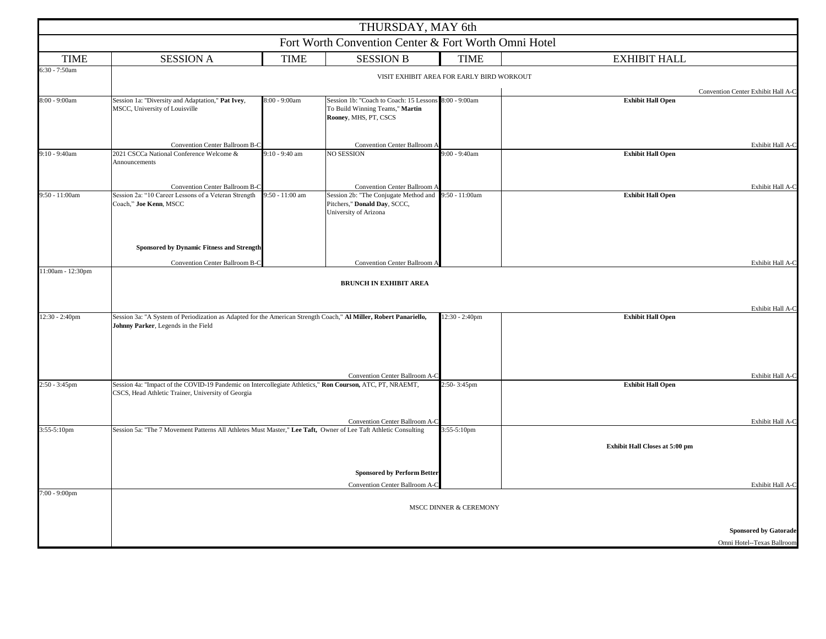|                                                      |                                                                                                                                                                 |                  | THURSDAY, MAY 6th                                                                                                 |                  |                                |                              |  |
|------------------------------------------------------|-----------------------------------------------------------------------------------------------------------------------------------------------------------------|------------------|-------------------------------------------------------------------------------------------------------------------|------------------|--------------------------------|------------------------------|--|
| Fort Worth Convention Center & Fort Worth Omni Hotel |                                                                                                                                                                 |                  |                                                                                                                   |                  |                                |                              |  |
| <b>TIME</b>                                          | <b>SESSION A</b>                                                                                                                                                | <b>TIME</b>      | <b>SESSION B</b>                                                                                                  | <b>TIME</b>      | <b>EXHIBIT HALL</b>            |                              |  |
| 6:30 - 7:50am                                        | VISIT EXHIBIT AREA FOR EARLY BIRD WORKOUT                                                                                                                       |                  |                                                                                                                   |                  |                                |                              |  |
|                                                      | Convention Center Exhibit Hall A-C                                                                                                                              |                  |                                                                                                                   |                  |                                |                              |  |
| 8:00 - 9:00am                                        | Session 1a: "Diversity and Adaptation," Pat Ivey,<br>MSCC, University of Louisville                                                                             | 8:00 - 9:00am    | Session 1b: "Coach to Coach: 15 Lessons 8:00 - 9:00am<br>To Build Winning Teams," Martin<br>Rooney, MHS, PT, CSCS |                  | <b>Exhibit Hall Open</b>       |                              |  |
|                                                      | Convention Center Ballroom B-C                                                                                                                                  |                  | Convention Center Ballroom A                                                                                      |                  |                                | Exhibit Hall A-C             |  |
| $9:10 - 9:40$ am                                     | 2021 CSCCa National Conference Welcome &<br>Announcements                                                                                                       | $9:10 - 9:40$ am | NO SESSION                                                                                                        | $9:00 - 9:40$ am | <b>Exhibit Hall Open</b>       |                              |  |
|                                                      | Convention Center Ballroom B-C                                                                                                                                  |                  | Convention Center Ballroom A                                                                                      |                  |                                | Exhibit Hall A-C             |  |
| 9:50 - 11:00am                                       | Session 2a: "10 Career Lessons of a Veteran Strength<br>Coach," Joe Kenn, MSCC                                                                                  | 9:50 - 11:00 am  | Session 2b: "The Conjugate Method and 9:50 - 11:00am<br>Pitchers," Donald Day, SCCC,<br>University of Arizona     |                  | <b>Exhibit Hall Open</b>       |                              |  |
|                                                      | Sponsored by Dynamic Fitness and Strength                                                                                                                       |                  |                                                                                                                   |                  |                                |                              |  |
|                                                      | Convention Center Ballroom B-C                                                                                                                                  |                  | Convention Center Ballroom A                                                                                      |                  |                                | Exhibit Hall A-C             |  |
| 11:00am - 12:30pm                                    |                                                                                                                                                                 |                  |                                                                                                                   |                  |                                |                              |  |
|                                                      |                                                                                                                                                                 |                  | <b>BRUNCH IN EXHIBIT AREA</b>                                                                                     |                  |                                |                              |  |
|                                                      |                                                                                                                                                                 |                  |                                                                                                                   |                  |                                | Exhibit Hall A-C             |  |
| 12:30 - 2:40pm                                       | Session 3a: "A System of Periodization as Adapted for the American Strength Coach," Al Miller, Robert Panariello,<br>Johnny Parker, Legends in the Field        |                  |                                                                                                                   | 12:30 - 2:40pm   | <b>Exhibit Hall Open</b>       |                              |  |
|                                                      |                                                                                                                                                                 |                  | Convention Center Ballroom A-C                                                                                    |                  |                                | Exhibit Hall A-C             |  |
| 2:50 - 3:45pm                                        | Session 4a: "Impact of the COVID-19 Pandemic on Intercollegiate Athletics," Ron Courson, ATC, PT, NRAEMT,<br>CSCS, Head Athletic Trainer, University of Georgia |                  |                                                                                                                   | 2:50-3:45pm      | <b>Exhibit Hall Open</b>       |                              |  |
|                                                      |                                                                                                                                                                 |                  | Convention Center Ballroom A-C                                                                                    |                  |                                | Exhibit Hall A-C             |  |
| 3:55-5:10pm                                          | Session 5a: "The 7 Movement Patterns All Athletes Must Master," Lee Taft, Owner of Lee Taft Athletic Consulting                                                 |                  |                                                                                                                   | 3:55-5:10pm      |                                |                              |  |
|                                                      |                                                                                                                                                                 |                  |                                                                                                                   |                  | Exhibit Hall Closes at 5:00 pm |                              |  |
|                                                      |                                                                                                                                                                 |                  | <b>Sponsored by Perform Better</b>                                                                                |                  |                                |                              |  |
|                                                      |                                                                                                                                                                 |                  | Convention Center Ballroom A-C                                                                                    |                  |                                | Exhibit Hall A-C             |  |
| 7:00 - 9:00pm                                        | MSCC DINNER & CEREMONY                                                                                                                                          |                  |                                                                                                                   |                  |                                |                              |  |
|                                                      |                                                                                                                                                                 |                  |                                                                                                                   |                  |                                | <b>Sponsored by Gatorade</b> |  |
|                                                      |                                                                                                                                                                 |                  |                                                                                                                   |                  |                                | Omni Hotel--Texas Ballroom   |  |